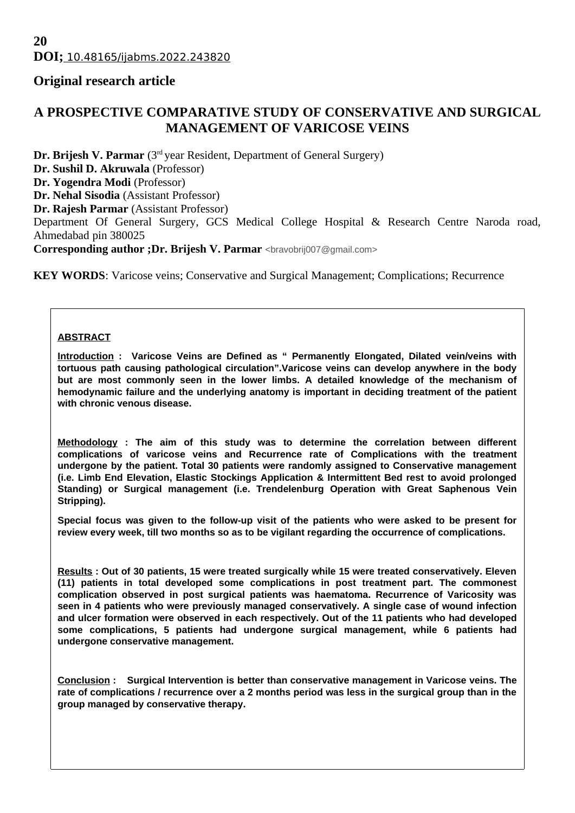# **Original research article**

# **A PROSPECTIVE COMPARATIVE STUDY OF CONSERVATIVE AND SURGICAL MANAGEMENT OF VARICOSE VEINS**

**Dr. Brijesh V. Parmar** (3<sup>rd</sup> year Resident, Department of General Surgery)

**Dr. Sushil D. Akruwala** (Professor)

**Dr. Yogendra Modi** (Professor)

**Dr. Nehal Sisodia** (Assistant Professor)

**Dr. Rajesh Parmar** (Assistant Professor)

Department Of General Surgery, GCS Medical College Hospital & Research Centre Naroda road, Ahmedabad pin 380025

**Corresponding author ;Dr. Brijesh V. Parmar <br/>bravobrij007@gmail.com>** 

**KEY WORDS:** Varicose veins; Conservative and Surgical Management; Complications; Recurrence

#### **ABSTRACT**

**Introduction : Varicose Veins are Defined as " Permanently Elongated, Dilated vein/veins with tortuous path causing pathological circulation".Varicose veins can develop anywhere in the body but are most commonly seen in the lower limbs. A detailed knowledge of the mechanism of hemodynamic failure and the underlying anatomy is important in deciding treatment of the patient with chronic venous disease.**

**Methodology : The aim of this study was to determine the correlation between different complications of varicose veins and Recurrence rate of Complications with the treatment undergone by the patient. Total 30 patients were randomly assigned to Conservative management (i.e. Limb End Elevation, Elastic Stockings Application & Intermittent Bed rest to avoid prolonged Standing) or Surgical management (i.e. Trendelenburg Operation with Great Saphenous Vein Stripping).**

**Special focus was given to the follow-up visit of the patients who were asked to be present for review every week, till two months so as to be vigilant regarding the occurrence of complications.**

**Results : Out of 30 patients, 15 were treated surgically while 15 were treated conservatively. Eleven (11) patients in total developed some complications in post treatment part. The commonest complication observed in post surgical patients was haematoma. Recurrence of Varicosity was seen in 4 patients who were previously managed conservatively. A single case of wound infection and ulcer formation were observed in each respectively. Out of the 11 patients who had developed some complications, 5 patients had undergone surgical management, while 6 patients had undergone conservative management.**

**Conclusion : Surgical Intervention is better than conservative management in Varicose veins. The rate of complications / recurrence over a 2 months period was less in the surgical group than in the group managed by conservative therapy.**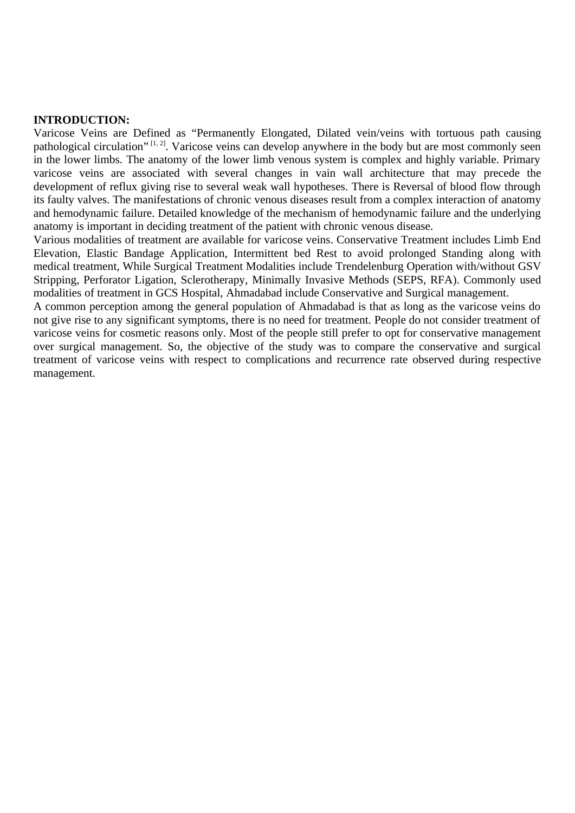#### **INTRODUCTION:**

Varicose Veins are Defined as "Permanently Elongated, Dilated vein/veins with tortuous path causing pathological circulation" <sup>[1, 2]</sup>. Varicose veins can develop anywhere in the body but are most commonly seen in the lower limbs. The anatomy of the lower limb venous system is complex and highly variable. Primary varicose veins are associated with several changes in vain wall architecture that may precede the development of reflux giving rise to several weak wall hypotheses. There is Reversal of blood flow through its faulty valves. The manifestations of chronic venous diseases result from a complex interaction of anatomy and hemodynamic failure. Detailed knowledge of the mechanism of hemodynamic failure and the underlying anatomy is important in deciding treatment of the patient with chronic venous disease.

Various modalities of treatment are available for varicose veins. Conservative Treatment includes Limb End Elevation, Elastic Bandage Application, Intermittent bed Rest to avoid prolonged Standing along with medical treatment, While Surgical Treatment Modalities include Trendelenburg Operation with/without GSV Stripping, Perforator Ligation, Sclerotherapy, Minimally Invasive Methods (SEPS, RFA). Commonly used modalities of treatment in GCS Hospital, Ahmadabad include Conservative and Surgical management.

A common perception among the general population of Ahmadabad is that as long as the varicose veins do not give rise to any significant symptoms, there is no need for treatment. People do not consider treatment of varicose veins for cosmetic reasons only. Most of the people still prefer to opt for conservative management over surgical management. So, the objective of the study was to compare the conservative and surgical treatment of varicose veins with respect to complications and recurrence rate observed during respective management.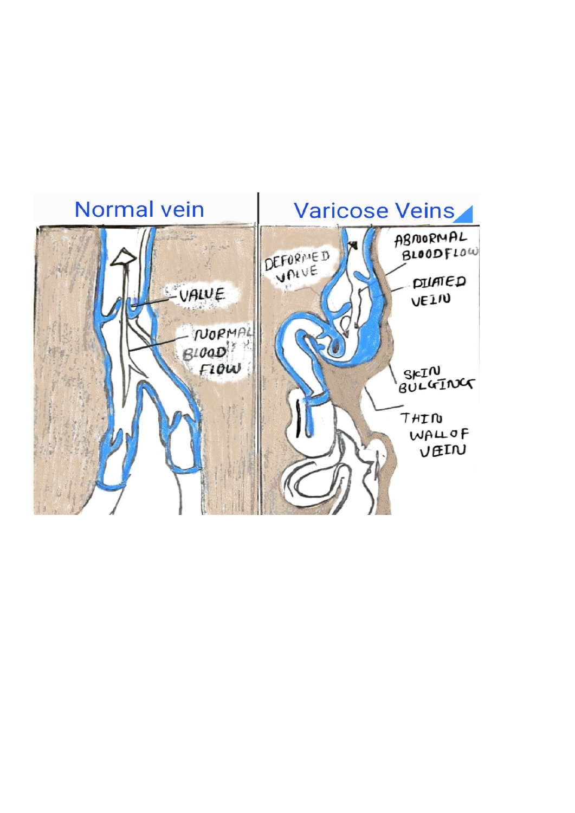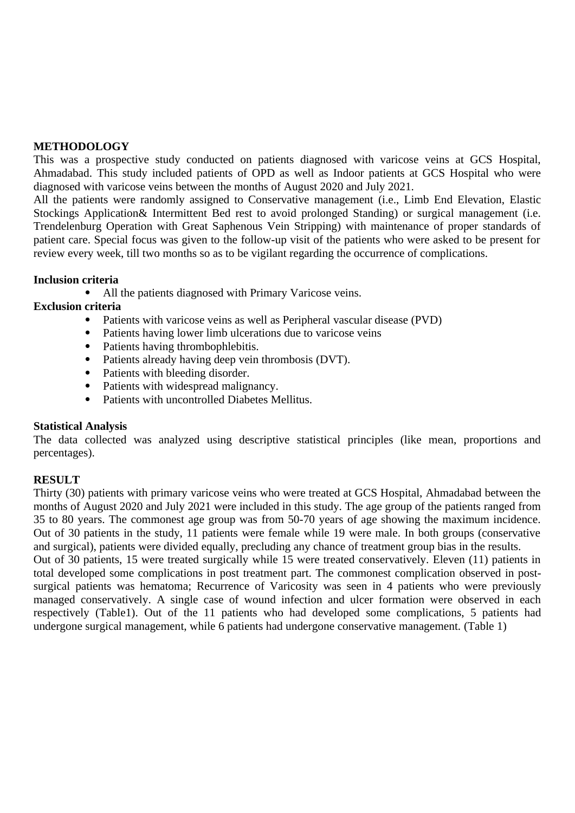#### **METHODOLOGY**

This was a prospective study conducted on patients diagnosed with varicose veins at GCS Hospital, Ahmadabad. This study included patients of OPD as well as Indoor patients at GCS Hospital who were diagnosed with varicose veins between the months of August 2020 and July 2021.

All the patients were randomly assigned to Conservative management (i.e., Limb End Elevation, Elastic Stockings Application& Intermittent Bed rest to avoid prolonged Standing) or surgical management (i.e. Trendelenburg Operation with Great Saphenous Vein Stripping) with maintenance of proper standards of patient care. Special focus was given to the follow-up visit of the patients who were asked to be present for review every week, till two months so as to be vigilant regarding the occurrence of complications.

## **Inclusion criteria**

All the patients diagnosed with Primary Varicose veins.

## **Exclusion criteria**

- Patients with varicose veins as well as Peripheral vascular disease (PVD)
- Patients having lower limb ulcerations due to varicose veins
- Patients having thrombophlebitis.
- Patients already having deep vein thrombosis (DVT).
- Patients with bleeding disorder.
- Patients with widespread malignancy.
- Patients with uncontrolled Diabetes Mellitus.

#### **Statistical Analysis**

The data collected was analyzed using descriptive statistical principles (like mean, proportions and percentages).

## **RESULT**

Thirty (30) patients with primary varicose veins who were treated at GCS Hospital, Ahmadabad between the months of August 2020 and July 2021 were included in this study. The age group of the patients ranged from 35 to 80 years. The commonest age group was from 50-70 years of age showing the maximum incidence. Out of 30 patients in the study, 11 patients were female while 19 were male. In both groups (conservative and surgical), patients were divided equally, precluding any chance of treatment group bias in the results.

Out of 30 patients, 15 were treated surgically while 15 were treated conservatively. Eleven (11) patients in total developed some complications in post treatment part. The commonest complication observed in postsurgical patients was hematoma; Recurrence of Varicosity was seen in 4 patients who were previously managed conservatively. A single case of wound infection and ulcer formation were observed in each respectively (Table1). Out of the 11 patients who had developed some complications, 5 patients had undergone surgical management, while 6 patients had undergone conservative management. (Table 1)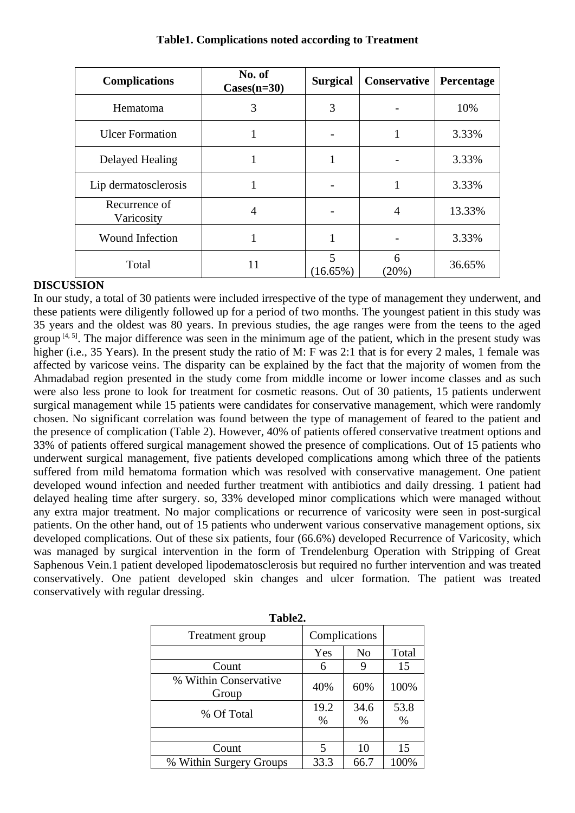| <b>Complications</b>        | No. of<br>$\text{Cases}(n=30)$ | <b>Surgical</b> | <b>Conservative</b> | Percentage |
|-----------------------------|--------------------------------|-----------------|---------------------|------------|
| Hematoma                    | 3                              | 3               |                     | 10%        |
| <b>Ulcer Formation</b>      | 1                              |                 | 1                   | 3.33%      |
| Delayed Healing             | 1                              | 1               |                     | 3.33%      |
| Lip dermatosclerosis        | 1                              |                 | 1                   | 3.33%      |
| Recurrence of<br>Varicosity | 4                              |                 | 4                   | 13.33%     |
| <b>Wound Infection</b>      |                                |                 |                     | 3.33%      |
| Total                       | 11                             | 5<br>(16.65%)   | 6<br>(20%)          | 36.65%     |

## **Table1. Complications noted according to Treatment**

## **DISCUSSION**

In our study, a total of 30 patients were included irrespective of the type of management they underwent, and these patients were diligently followed up for a period of two months. The youngest patient in this study was 35 years and the oldest was 80 years. In previous studies, the age ranges were from the teens to the aged group  $[4, 5]$ . The major difference was seen in the minimum age of the patient, which in the present study was higher (i.e., 35 Years). In the present study the ratio of M: F was 2:1 that is for every 2 males, 1 female was affected by varicose veins. The disparity can be explained by the fact that the majority of women from the Ahmadabad region presented in the study come from middle income or lower income classes and as such were also less prone to look for treatment for cosmetic reasons. Out of 30 patients, 15 patients underwent surgical management while 15 patients were candidates for conservative management, which were randomly chosen. No significant correlation was found between the type of management of feared to the patient and the presence of complication (Table 2). However, 40% of patients offered conservative treatment options and 33% of patients offered surgical management showed the presence of complications. Out of 15 patients who underwent surgical management, five patients developed complications among which three of the patients suffered from mild hematoma formation which was resolved with conservative management. One patient developed wound infection and needed further treatment with antibiotics and daily dressing. 1 patient had delayed healing time after surgery. so, 33% developed minor complications which were managed without any extra major treatment. No major complications or recurrence of varicosity were seen in post-surgical patients. On the other hand, out of 15 patients who underwent various conservative management options, six developed complications. Out of these six patients, four (66.6%) developed Recurrence of Varicosity, which was managed by surgical intervention in the form of Trendelenburg Operation with Stripping of Great Saphenous Vein.1 patient developed lipodematosclerosis but required no further intervention and was treated conservatively. One patient developed skin changes and ulcer formation. The patient was treated conservatively with regular dressing.

| 1 uvils.                       |                       |              |              |  |  |  |
|--------------------------------|-----------------------|--------------|--------------|--|--|--|
| Treatment group                | Complications         |              |              |  |  |  |
|                                | Yes                   | No           | <b>Total</b> |  |  |  |
| Count                          | 6                     | 9            | 15           |  |  |  |
| % Within Conservative<br>Group | 40%                   | 60%          | 100%         |  |  |  |
| % Of Total                     | 19.2<br>$\frac{0}{0}$ | 34.6<br>$\%$ | 53.8<br>$\%$ |  |  |  |
|                                |                       |              |              |  |  |  |
| Count                          | 5                     | 10           | 15           |  |  |  |
| % Within Surgery Groups        | 33.3                  | 66.7         | 100%         |  |  |  |

**Table2.**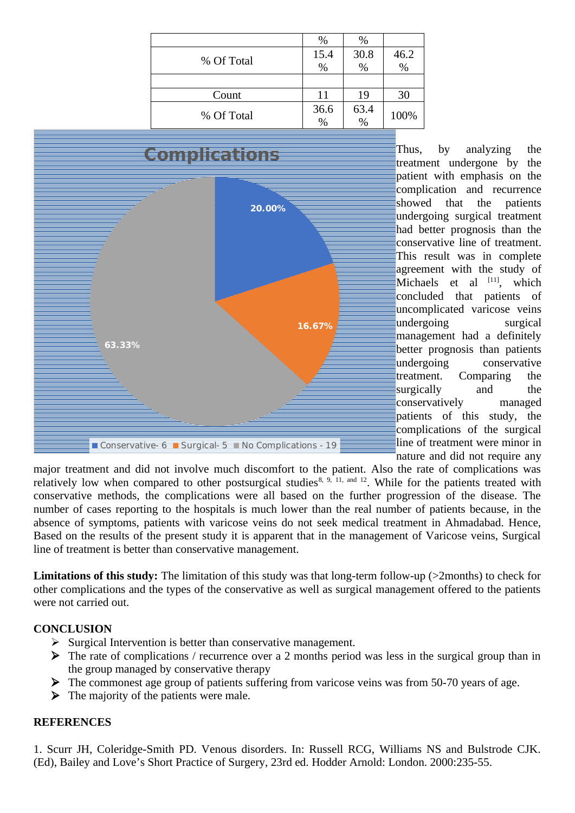|            | $\%$          | $\%$          |                  |
|------------|---------------|---------------|------------------|
| % Of Total | 15.4          | 30.8          |                  |
|            | $\frac{0}{0}$ | $\frac{0}{0}$ | $\frac{46.2}{%}$ |
|            |               |               |                  |
| Count      | 11            | 19            | 30               |
| % Of Total | 36.6          | 63.4          | 100%             |
|            | $\frac{0}{0}$ | $\frac{9}{6}$ |                  |



Thus, by analyzing the treatment undergone by the patient with emphasis on the complication and recurrence showed that the patients undergoing surgical treatment had better prognosis than the conservative line of treatment. This result was in complete agreement with the study of Michaels et al  $[11]$ , which concluded that patients of uncomplicated varicose veins undergoing surgical management had a definitely better prognosis than patients undergoing conservative treatment. Comparing the surgically and the conservatively managed patients of this study, the complications of the surgical line of treatment were minor in nature and did not require any

major treatment and did not involve much discomfort to the patient. Also the rate of complications was relatively low when compared to other postsurgical studies<sup>8, 9, 11, and 12</sup>. While for the patients treated with conservative methods, the complications were all based on the further progression of the disease. The number of cases reporting to the hospitals is much lower than the real number of patients because, in the absence of symptoms, patients with varicose veins do not seek medical treatment in Ahmadabad. Hence, Based on the results of the present study it is apparent that in the management of Varicose veins, Surgical line of treatment is better than conservative management.

**Limitations of this study:** The limitation of this study was that long-term follow-up (>2months) to check for other complications and the types of the conservative as well as surgical management offered to the patients were not carried out.

# **CONCLUSION**

- $\triangleright$  Surgical Intervention is better than conservative management.
- $\triangleright$  The rate of complications / recurrence over a 2 months period was less in the surgical group than in the group managed by conservative therapy
- $\triangleright$  The commonest age group of patients suffering from varicose veins was from 50-70 years of age.
- $\triangleright$  The majority of the patients were male.

## **REFERENCES**

1. Scurr JH, Coleridge-Smith PD. Venous disorders. In: Russell RCG, Williams NS and Bulstrode CJK. (Ed), Bailey and Love's Short Practice of Surgery, 23rd ed. Hodder Arnold: London. 2000:235-55.